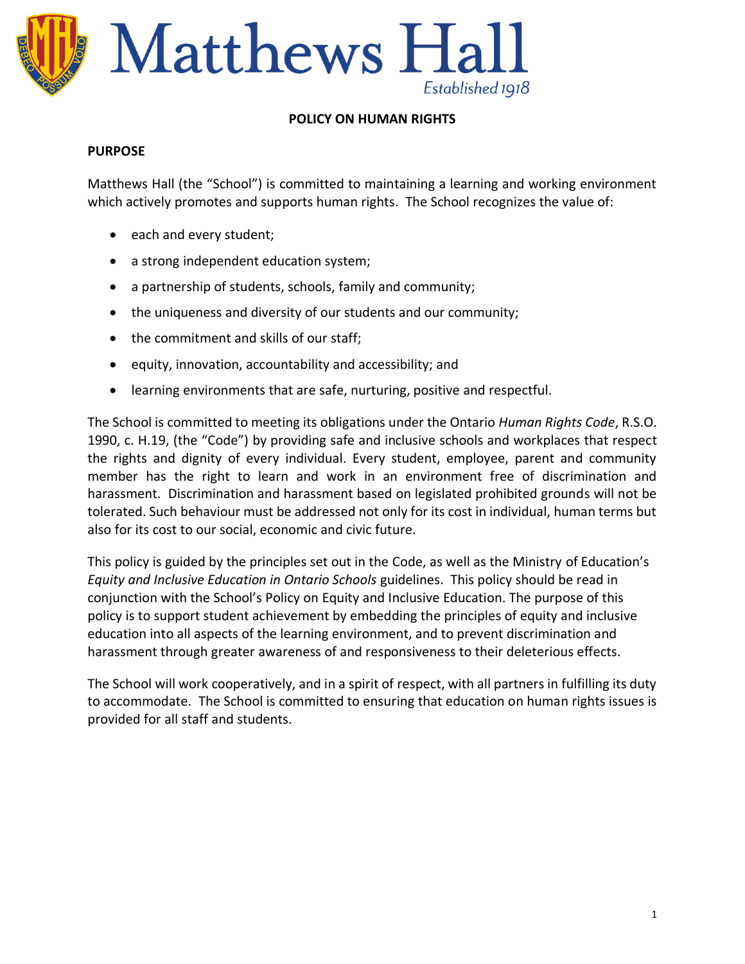

#### **POLICY ON HUMAN RIGHTS**

#### **PURPOSE**

Matthews Hall (the "School") is committed to maintaining a learning and working environment which actively promotes and supports human rights. The School recognizes the value of:

- each and every student;
- a strong independent education system;
- a partnership of students, schools, family and community;
- the uniqueness and diversity of our students and our community;
- the commitment and skills of our staff;
- equity, innovation, accountability and accessibility; and
- learning environments that are safe, nurturing, positive and respectful.

The School is committed to meeting its obligations under the Ontario *Human Rights Code*, R.S.O. 1990, c. H.19, (the "Code") by providing safe and inclusive schools and workplaces that respect the rights and dignity of every individual. Every student, employee, parent and community member has the right to learn and work in an environment free of discrimination and harassment. Discrimination and harassment based on legislated prohibited grounds will not be tolerated. Such behaviour must be addressed not only for its cost in individual, human terms but also for its cost to our social, economic and civic future.

This policy is guided by the principles set out in the Code, as well as the Ministry of Education's *Equity and Inclusive Education in Ontario Schools* guidelines. This policy should be read in conjunction with the School's Policy on Equity and Inclusive Education. The purpose of this policy is to support student achievement by embedding the principles of equity and inclusive education into all aspects of the learning environment, and to prevent discrimination and harassment through greater awareness of and responsiveness to their deleterious effects.

The School will work cooperatively, and in a spirit of respect, with all partners in fulfilling its duty to accommodate. The School is committed to ensuring that education on human rights issues is provided for all staff and students.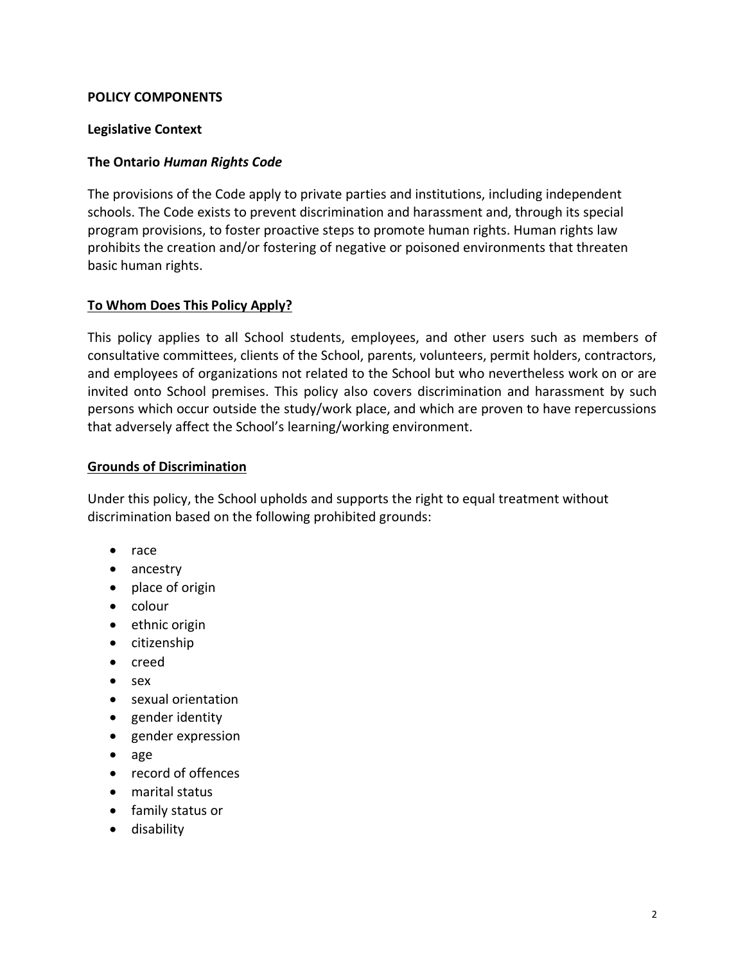### **POLICY COMPONENTS**

### **Legislative Context**

### **The Ontario** *Human Rights Code*

The provisions of the Code apply to private parties and institutions, including independent schools. The Code exists to prevent discrimination and harassment and, through its special program provisions, to foster proactive steps to promote human rights. Human rights law prohibits the creation and/or fostering of negative or poisoned environments that threaten basic human rights.

## **To Whom Does This Policy Apply?**

This policy applies to all School students, employees, and other users such as members of consultative committees, clients of the School, parents, volunteers, permit holders, contractors, and employees of organizations not related to the School but who nevertheless work on or are invited onto School premises. This policy also covers discrimination and harassment by such persons which occur outside the study/work place, and which are proven to have repercussions that adversely affect the School's learning/working environment.

### **Grounds of Discrimination**

Under this policy, the School upholds and supports the right to equal treatment without discrimination based on the following prohibited grounds:

- race
- ancestry
- place of origin
- colour
- ethnic origin
- citizenship
- creed
- sex
- sexual orientation
- gender identity
- gender expression
- age
- record of offences
- marital status
- family status or
- disability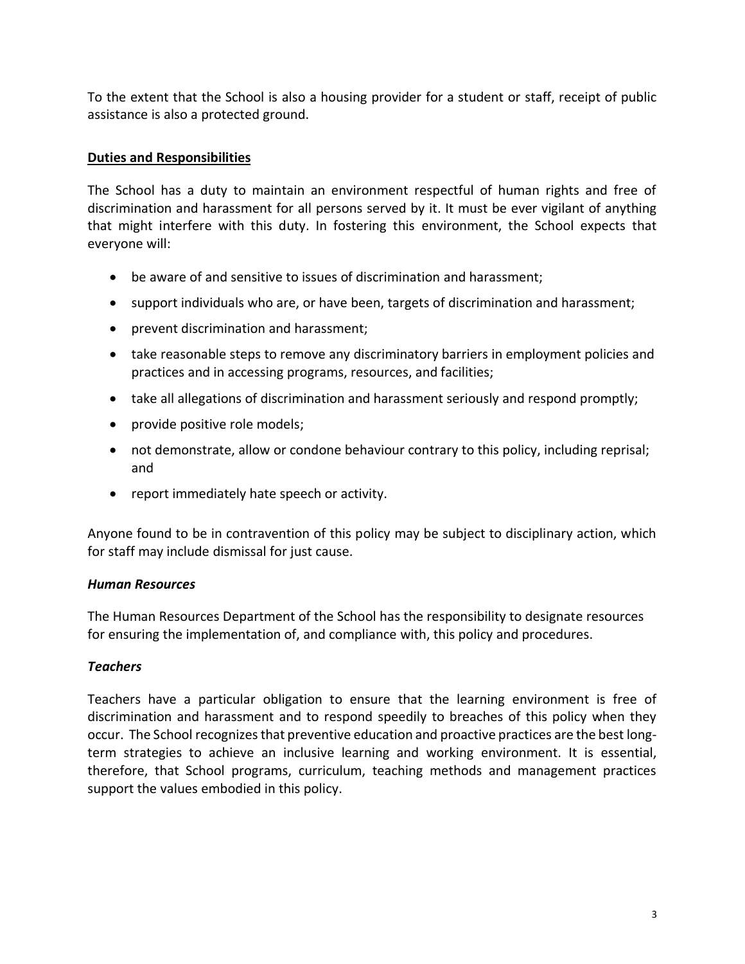To the extent that the School is also a housing provider for a student or staff, receipt of public assistance is also a protected ground.

# **Duties and Responsibilities**

The School has a duty to maintain an environment respectful of human rights and free of discrimination and harassment for all persons served by it. It must be ever vigilant of anything that might interfere with this duty. In fostering this environment, the School expects that everyone will:

- be aware of and sensitive to issues of discrimination and harassment;
- support individuals who are, or have been, targets of discrimination and harassment;
- prevent discrimination and harassment;
- take reasonable steps to remove any discriminatory barriers in employment policies and practices and in accessing programs, resources, and facilities;
- take all allegations of discrimination and harassment seriously and respond promptly;
- provide positive role models;
- not demonstrate, allow or condone behaviour contrary to this policy, including reprisal; and
- report immediately hate speech or activity.

Anyone found to be in contravention of this policy may be subject to disciplinary action, which for staff may include dismissal for just cause.

# *Human Resources*

The Human Resources Department of the School has the responsibility to designate resources for ensuring the implementation of, and compliance with, this policy and procedures.

# *Teachers*

Teachers have a particular obligation to ensure that the learning environment is free of discrimination and harassment and to respond speedily to breaches of this policy when they occur. The School recognizes that preventive education and proactive practices are the best longterm strategies to achieve an inclusive learning and working environment. It is essential, therefore, that School programs, curriculum, teaching methods and management practices support the values embodied in this policy.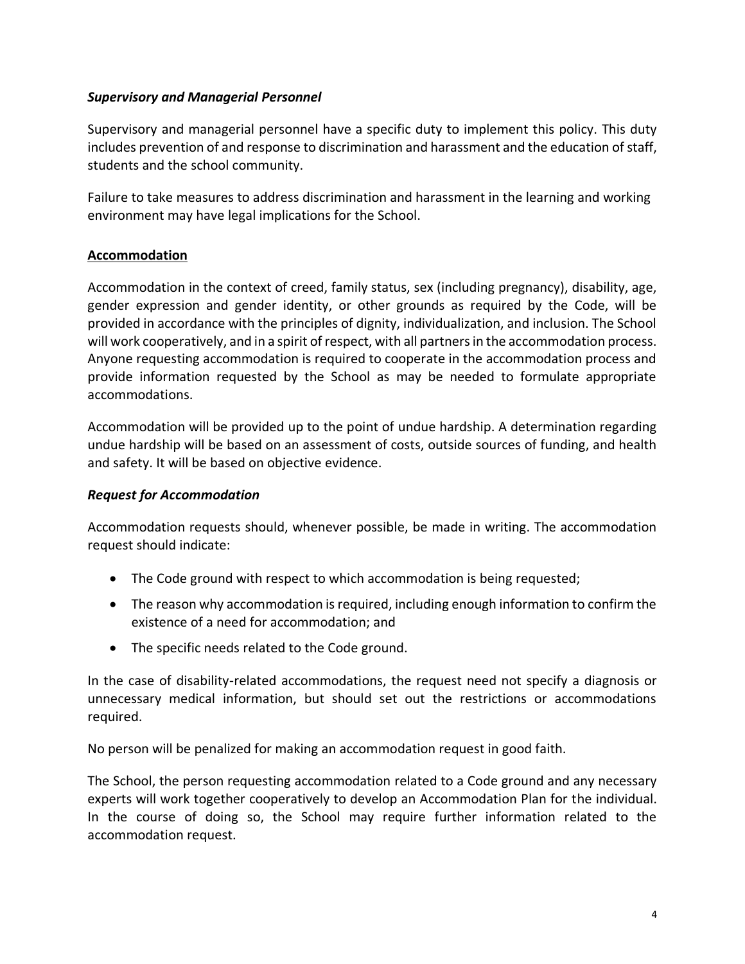## *Supervisory and Managerial Personnel*

Supervisory and managerial personnel have a specific duty to implement this policy. This duty includes prevention of and response to discrimination and harassment and the education of staff, students and the school community.

Failure to take measures to address discrimination and harassment in the learning and working environment may have legal implications for the School.

## **Accommodation**

Accommodation in the context of creed, family status, sex (including pregnancy), disability, age, gender expression and gender identity, or other grounds as required by the Code, will be provided in accordance with the principles of dignity, individualization, and inclusion. The School will work cooperatively, and in a spirit of respect, with all partners in the accommodation process. Anyone requesting accommodation is required to cooperate in the accommodation process and provide information requested by the School as may be needed to formulate appropriate accommodations.

Accommodation will be provided up to the point of undue hardship. A determination regarding undue hardship will be based on an assessment of costs, outside sources of funding, and health and safety. It will be based on objective evidence.

# *Request for Accommodation*

Accommodation requests should, whenever possible, be made in writing. The accommodation request should indicate:

- The Code ground with respect to which accommodation is being requested;
- The reason why accommodation is required, including enough information to confirm the existence of a need for accommodation; and
- The specific needs related to the Code ground.

In the case of disability-related accommodations, the request need not specify a diagnosis or unnecessary medical information, but should set out the restrictions or accommodations required.

No person will be penalized for making an accommodation request in good faith.

The School, the person requesting accommodation related to a Code ground and any necessary experts will work together cooperatively to develop an Accommodation Plan for the individual. In the course of doing so, the School may require further information related to the accommodation request.